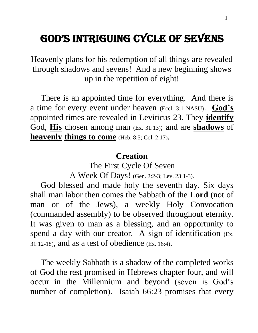# GOD'S INTRIGUING CYCLE OF SEVENS

Heavenly plans for his redemption of all things are revealed through shadows and sevens! And a new beginning shows up in the repetition of eight!

 There is an appointed time for everything. And there is a time for every event under heaven (Eccl. 3:1 NASU). **God's** appointed times are revealed in Leviticus 23. They **identify** God, **His** chosen among man (Ex. 31:13); and are **shadows** of **heavenly things to come** (Heb. 8:5; Col. 2:17).

#### **Creation**

The First Cycle Of Seven A Week Of Days! (Gen. 2:2-3; Lev. 23:1-3).

 God blessed and made holy the seventh day. Six days shall man labor then comes the Sabbath of the **Lord** (not of man or of the Jews), a weekly Holy Convocation (commanded assembly) to be observed throughout eternity. It was given to man as a blessing, and an opportunity to spend a day with our creator. A sign of identification (Ex. 31:12-18), and as a test of obedience (Ex. 16:4).

 The weekly Sabbath is a shadow of the completed works of God the rest promised in Hebrews chapter four, and will occur in the Millennium and beyond (seven is God's number of completion). Isaiah 66:23 promises that every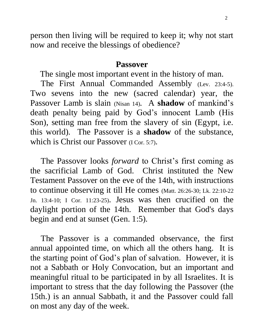person then living will be required to keep it; why not start now and receive the blessings of obedience?

#### **Passover**

The single most important event in the history of man.

 The First Annual Commanded Assembly (Lev. 23:4-5). Two sevens into the new (sacred calendar) year, the Passover Lamb is slain (Nisan 14). A **shadow** of mankind's death penalty being paid by God's innocent Lamb (His Son), setting man free from the slavery of sin (Egypt, i.e. this world). The Passover is a **shadow** of the substance, which is Christ our Passover *(I Cor. 5:7)*.

 The Passover looks *forward* to Christ's first coming as the sacrificial Lamb of God. Christ instituted the New Testament Passover on the eve of the 14th, with instructions to continue observing it till He comes (Matt. 26:26-30; Lk. 22:10-22 Jn. 13:4-10; I Cor. 11:23-25). Jesus was then crucified on the daylight portion of the 14th. Remember that God's days begin and end at sunset (Gen. 1:5).

 The Passover is a commanded observance, the first annual appointed time, on which all the others hang. It is the starting point of God's plan of salvation. However, it is not a Sabbath or Holy Convocation, but an important and meaningful ritual to be participated in by all Israelites. It is important to stress that the day following the Passover (the 15th.) is an annual Sabbath, it and the Passover could fall on most any day of the week.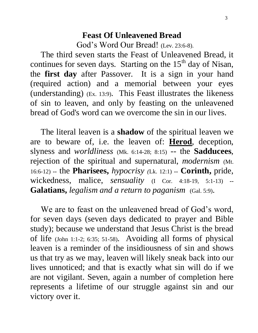## **Feast Of Unleavened Bread**  God's Word Our Bread! (Lev. 23:6-8).

 The third seven starts the Feast of Unleavened Bread, it continues for seven days. Starting on the  $15<sup>th</sup>$  day of Nisan, the **first day** after Passover. It is a sign in your hand (required action) and a memorial between your eyes (understanding) (Ex. 13:9). This Feast illustrates the likeness of sin to leaven, and only by feasting on the unleavened bread of God's word can we overcome the sin in our lives.

 The literal leaven is a **shadow** of the spiritual leaven we are to beware of, i.e. the leaven of: **Herod**, deception, slyness and *worldliness* (Mk. 6:14-28; 8:15) -- the **Sadducees**, rejection of the spiritual and supernatural, *modernism* (Mt. 16:6-12) **--** the **Pharisees,** *hypocrisy (*Lk. 12:1) **-- Corinth,** pride, wickedness, malice, *sensuality* (I Cor. 4:18-19, 5:1-13) **-- Galatians,** *legalism and a return to paganism* (Gal. 5:9).

We are to feast on the unleavened bread of God's word, for seven days (seven days dedicated to prayer and Bible study); because we understand that Jesus Christ is the bread of life (John 1:1-2; 6:35; 51-58). Avoiding all forms of physical leaven is a reminder of the insidiousness of sin and shows us that try as we may, leaven will likely sneak back into our lives unnoticed; and that is exactly what sin will do if we are not vigilant. Seven, again a number of completion here represents a lifetime of our struggle against sin and our victory over it.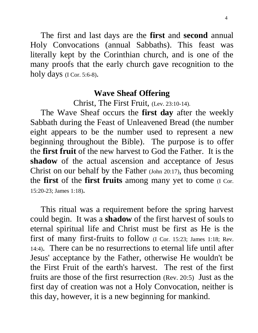The first and last days are the **first** and **second** annual Holy Convocations (annual Sabbaths). This feast was literally kept by the Corinthian church, and is one of the many proofs that the early church gave recognition to the holy days (I Cor. 5:6-8).

#### **Wave Sheaf Offering**

Christ, The First Fruit, (Lev. 23:10-14).

 The Wave Sheaf occurs the **first day** after the weekly Sabbath during the Feast of Unleavened Bread (the number eight appears to be the number used to represent a new beginning throughout the Bible). The purpose is to offer the **first fruit** of the new harvest to God the Father. It is the **shadow** of the actual ascension and acceptance of Jesus Christ on our behalf by the Father (John 20:17), thus becoming the **first** of the **first fruits** among many yet to come (I Cor. 15:20-23; James 1:18).

 This ritual was a requirement before the spring harvest could begin. It was a **shadow** of the first harvest of souls to eternal spiritual life and Christ must be first as He is the first of many first-fruits to follow (I Cor. 15:23; James 1:18; Rev. 14:4). There can be no resurrections to eternal life until after Jesus' acceptance by the Father, otherwise He wouldn't be the First Fruit of the earth's harvest. The rest of the first fruits are those of the first resurrection (Rev. 20:5) Just as the first day of creation was not a Holy Convocation, neither is this day, however, it is a new beginning for mankind.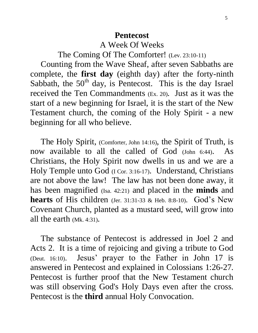#### **Pentecost**

A Week Of Weeks

The Coming Of The Comforter! (Lev. 23:10-11)

 Counting from the Wave Sheaf, after seven Sabbaths are complete, the **first day** (eighth day) after the forty-ninth Sabbath, the  $50<sup>th</sup>$  day, is Pentecost. This is the day Israel received the Ten Commandments (Ex. 20). Just as it was the start of a new beginning for Israel, it is the start of the New Testament church, the coming of the Holy Spirit - a new beginning for all who believe.

 The Holy Spirit, (Comforter, John 14:16), the Spirit of Truth, is now available to all the called of God (John 6:44). As Christians, the Holy Spirit now dwells in us and we are a Holy Temple unto God (I Cor. 3:16-17). Understand, Christians are not above the law! The law has not been done away, it has been magnified (Isa. 42:21) and placed in the **minds** and **hearts** of His children (Jer. 31:31-33 & Heb. 8:8-10). God's New Covenant Church, planted as a mustard seed, will grow into all the earth (Mk. 4:31).

 The substance of Pentecost is addressed in Joel 2 and Acts 2. It is a time of rejoicing and giving a tribute to God (Deut. 16:10). Jesus' prayer to the Father in John 17 is answered in Pentecost and explained in Colossians 1:26-27. Pentecost is further proof that the New Testament church was still observing God's Holy Days even after the cross. Pentecost is the **third** annual Holy Convocation.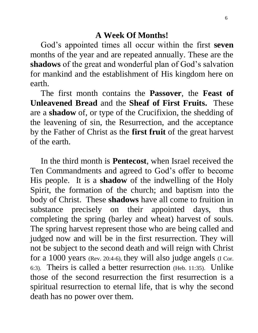#### **A Week Of Months!**

 God's appointed times all occur within the first **seven** months of the year and are repeated annually. These are the **shadows** of the great and wonderful plan of God's salvation for mankind and the establishment of His kingdom here on earth.

 The first month contains the **Passover**, the **Feast of Unleavened Bread** and the **Sheaf of First Fruits.** These are a **shadow** of, or type of the Crucifixion, the shedding of the leavening of sin, the Resurrection, and the acceptance by the Father of Christ as the **first fruit** of the great harvest of the earth.

 In the third month is **Pentecost**, when Israel received the Ten Commandments and agreed to God's offer to become His people. It is a **shadow** of the indwelling of the Holy Spirit, the formation of the church; and baptism into the body of Christ. These **shadows** have all come to fruition in substance precisely on their appointed days, thus completing the spring (barley and wheat) harvest of souls. The spring harvest represent those who are being called and judged now and will be in the first resurrection. They will not be subject to the second death and will reign with Christ for a 1000 years (Rev. 20:4-6), they will also judge angels (I Cor. 6:3). Theirs is called a better resurrection (Heb. 11:35). Unlike those of the second resurrection the first resurrection is a spiritual resurrection to eternal life, that is why the second death has no power over them.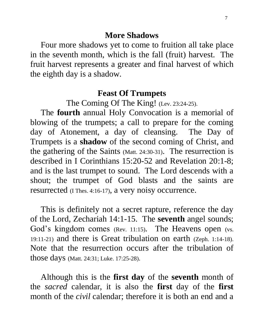#### **More Shadows**

Four more shadows yet to come to fruition all take place in the seventh month, which is the fall (fruit) harvest. The fruit harvest represents a greater and final harvest of which the eighth day is a shadow.

#### **Feast Of Trumpets**

The Coming Of The King! (Lev. 23:24-25).

 The **fourth** annual Holy Convocation is a memorial of blowing of the trumpets; a call to prepare for the coming day of Atonement, a day of cleansing. The Day of Trumpets is a **shadow** of the second coming of Christ, and the gathering of the Saints (Matt. 24:30-31). The resurrection is described in I Corinthians 15:20-52 and Revelation 20:1-8; and is the last trumpet to sound. The Lord descends with a shout; the trumpet of God blasts and the saints are resurrected (I Thes. 4:16-17), a very noisy occurrence.

 This is definitely not a secret rapture, reference the day of the Lord, Zechariah 14:1-15. The **seventh** angel sounds; God's kingdom comes (Rev. 11:15). The Heavens open (vs. 19:11-21) and there is Great tribulation on earth (Zeph. 1:14-18). Note that the resurrection occurs after the tribulation of those days (Matt. 24:31; Luke. 17:25-28).

 Although this is the **first day** of the **seventh** month of the *sacred* calendar, it is also the **first** day of the **first** month of the *civil* calendar; therefore it is both an end and a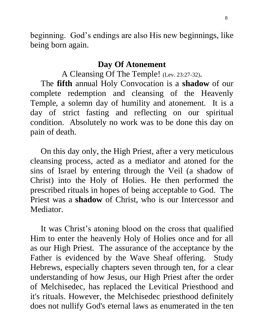beginning. God's endings are also His new beginnings, like being born again.

## **Day Of Atonement**

A Cleansing Of The Temple! (Lev. 23:27-32).

 The **fifth** annual Holy Convocation is a **shadow** of our complete redemption and cleansing of the Heavenly Temple, a solemn day of humility and atonement. It is a day of strict fasting and reflecting on our spiritual condition. Absolutely no work was to be done this day on pain of death.

 On this day only, the High Priest, after a very meticulous cleansing process, acted as a mediator and atoned for the sins of Israel by entering through the Veil (a shadow of Christ) into the Holy of Holies. He then performed the prescribed rituals in hopes of being acceptable to God. The Priest was a **shadow** of Christ, who is our Intercessor and Mediator.

 It was Christ's atoning blood on the cross that qualified Him to enter the heavenly Holy of Holies once and for all as our High Priest. The assurance of the acceptance by the Father is evidenced by the Wave Sheaf offering. Study Hebrews, especially chapters seven through ten, for a clear understanding of how Jesus, our High Priest after the order of Melchisedec, has replaced the Levitical Priesthood and it's rituals. However, the Melchisedec priesthood definitely does not nullify God's eternal laws as enumerated in the ten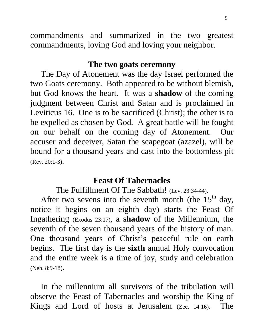commandments and summarized in the two greatest commandments, loving God and loving your neighbor.

#### **The two goats ceremony**

 The Day of Atonement was the day Israel performed the two Goats ceremony. Both appeared to be without blemish, but God knows the heart. It was a **shadow** of the coming judgment between Christ and Satan and is proclaimed in Leviticus 16. One is to be sacrificed (Christ); the other is to be expelled as chosen by God. A great battle will be fought on our behalf on the coming day of Atonement. Our accuser and deceiver, Satan the scapegoat (azazel), will be bound for a thousand years and cast into the bottomless pit (Rev. 20:1-3).

#### **Feast Of Tabernacles**

The Fulfillment Of The Sabbath! (Lev. 23:34-44).

After two sevens into the seventh month (the  $15<sup>th</sup>$  day, notice it begins on an eighth day) starts the Feast Of Ingathering (Exodus 23:17), a **shadow** of the Millennium, the seventh of the seven thousand years of the history of man. One thousand years of Christ's peaceful rule on earth begins. The first day is the **sixth** annual Holy convocation and the entire week is a time of joy, study and celebration (Neh. 8:9-18).

 In the millennium all survivors of the tribulation will observe the Feast of Tabernacles and worship the King of Kings and Lord of hosts at Jerusalem (Zec. 14:16). The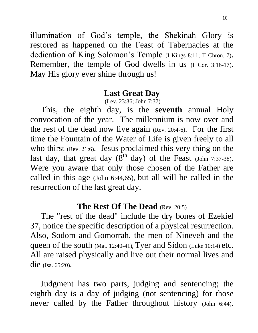illumination of God's temple, the Shekinah Glory is restored as happened on the Feast of Tabernacles at the dedication of King Solomon's Temple (I Kings 8:11; II Chron. 7). Remember, the temple of God dwells in us (I Cor. 3:16-17). May His glory ever shine through us!

#### **Last Great Day**

(Lev. 23:36; John 7:37)

 This, the eighth day, is the **seventh** annual Holy convocation of the year. The millennium is now over and the rest of the dead now live again (Rev. 20:4-6). For the first time the Fountain of the Water of Life is given freely to all who thirst (Rev. 21:6). Jesus proclaimed this very thing on the last day, that great day  $(8^{th}$  day) of the Feast (John 7:37-38). Were you aware that only those chosen of the Father are called in this age (John 6:44,65), but all will be called in the resurrection of the last great day.

#### **The Rest Of The Dead (**Rev. 20:5)

 The "rest of the dead" include the dry bones of Ezekiel 37, notice the specific description of a physical resurrection. Also, Sodom and Gomorrah, the men of Nineveh and the queen of the south (Mat. 12:40-41), Tyer and Sidon (Luke 10:14) etc. All are raised physically and live out their normal lives and die (Isa. 65:20).

 Judgment has two parts, judging and sentencing; the eighth day is a day of judging (not sentencing) for those never called by the Father throughout history (John 6:44).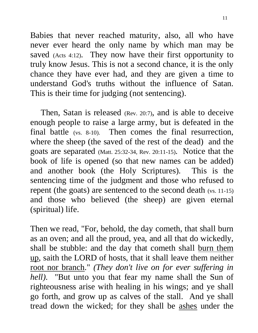Babies that never reached maturity, also, all who have never ever heard the only name by which man may be saved (Acts 4:12). They now have their first opportunity to truly know Jesus. This is not a second chance, it is the only chance they have ever had, and they are given a time to understand God's truths without the influence of Satan. This is their time for judging (not sentencing).

 Then, Satan is released (Rev. 20:7), and is able to deceive enough people to raise a large army, but is defeated in the final battle (vs. 8-10). Then comes the final resurrection, where the sheep (the saved of the rest of the dead) and the goats are separated (Matt. 25:32-34, Rev. 20:11-15). Notice that the book of life is opened (so that new names can be added) and another book (the Holy Scriptures). This is the sentencing time of the judgment and those who refused to repent (the goats) are sentenced to the second death (vs. 11-15) and those who believed (the sheep) are given eternal (spiritual) life.

Then we read, "For, behold, the day cometh, that shall burn as an oven; and all the proud, yea, and all that do wickedly, shall be stubble: and the day that cometh shall burn them up, saith the LORD of hosts, that it shall leave them neither root nor branch." *(They don't live on for ever suffering in hell)*. "But unto you that fear my name shall the Sun of righteousness arise with healing in his wings; and ye shall go forth, and grow up as calves of the stall. And ye shall tread down the wicked; for they shall be ashes under the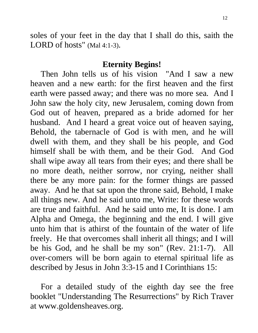soles of your feet in the day that I shall do this, saith the LORD of hosts" (Mal 4:1-3).

#### **Eternity Begins!**

 Then John tells us of his vision "And I saw a new heaven and a new earth: for the first heaven and the first earth were passed away; and there was no more sea. And I John saw the holy city, new Jerusalem, coming down from God out of heaven, prepared as a bride adorned for her husband. And I heard a great voice out of heaven saying, Behold, the tabernacle of God is with men, and he will dwell with them, and they shall be his people, and God himself shall be with them, and be their God. And God shall wipe away all tears from their eyes; and there shall be no more death, neither sorrow, nor crying, neither shall there be any more pain: for the former things are passed away. And he that sat upon the throne said, Behold, I make all things new. And he said unto me, Write: for these words are true and faithful. And he said unto me, It is done. I am Alpha and Omega, the beginning and the end. I will give unto him that is athirst of the fountain of the water of life freely. He that overcomes shall inherit all things; and I will be his God, and he shall be my son" (Rev. 21:1-7). All over-comers will be born again to eternal spiritual life as described by Jesus in John 3:3-15 and I Corinthians 15:

 For a detailed study of the eighth day see the free booklet "Understanding The Resurrections" by Rich Traver at www.goldensheaves.org.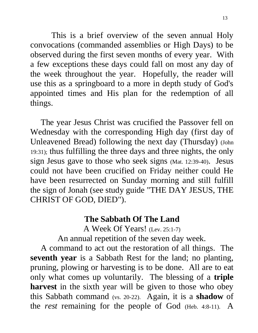This is a brief overview of the seven annual Holy convocations (commanded assemblies or High Days) to be observed during the first seven months of every year. With a few exceptions these days could fall on most any day of the week throughout the year. Hopefully, the reader will use this as a springboard to a more in depth study of God's appointed times and His plan for the redemption of all things.

 The year Jesus Christ was crucified the Passover fell on Wednesday with the corresponding High day (first day of Unleavened Bread) following the next day (Thursday) (John 19:31); thus fulfilling the three days and three nights, the only sign Jesus gave to those who seek signs (Mat. 12:39-40). Jesus could not have been crucified on Friday neither could He have been resurrected on Sunday morning and still fulfill the sign of Jonah (see study guide "THE DAY JESUS, THE CHRIST OF GOD, DIED").

## **The Sabbath Of The Land**

A Week Of Years! (Lev. 25:1-7)

An annual repetition of the seven day week.

 A command to act out the restoration of all things. The **seventh year** is a Sabbath Rest for the land; no planting, pruning, plowing or harvesting is to be done. All are to eat only what comes up voluntarily. The blessing of a **triple harvest** in the sixth year will be given to those who obey this Sabbath command (vs. 20-22). Again, it is a **shadow** of the *rest* remaining for the people of God (Heb. 4:8-11). A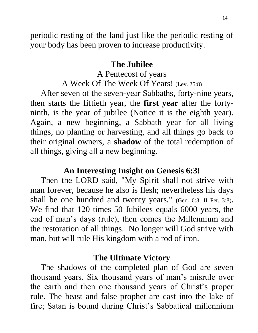periodic resting of the land just like the periodic resting of your body has been proven to increase productivity.

#### **The Jubilee**

A Pentecost of years A Week Of The Week Of Years! (Lev. 25:8)

 After seven of the seven-year Sabbaths, forty-nine years, then starts the fiftieth year, the **first year** after the fortyninth, is the year of jubilee (Notice it is the eighth year). Again, a new beginning, a Sabbath year for all living things, no planting or harvesting, and all things go back to their original owners, a **shadow** of the total redemption of all things, giving all a new beginning.

#### **An Interesting Insight on Genesis 6:3!**

 Then the LORD said, "My Spirit shall not strive with man forever, because he also is flesh; nevertheless his days shall be one hundred and twenty years." (Gen. 6:3; II Pet. 3:8). We find that 120 times 50 Jubilees equals 6000 years, the end of man's days (rule), then comes the Millennium and the restoration of all things. No longer will God strive with man, but will rule His kingdom with a rod of iron.

#### **The Ultimate Victory**

 The shadows of the completed plan of God are seven thousand years. Six thousand years of man's misrule over the earth and then one thousand years of Christ's proper rule. The beast and false prophet are cast into the lake of fire; Satan is bound during Christ's Sabbatical millennium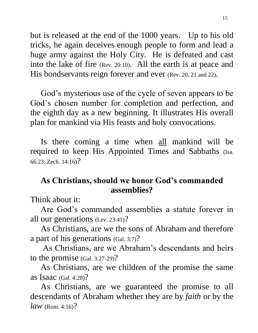but is released at the end of the 1000 years. Up to his old tricks, he again deceives enough people to form and lead a huge army against the Holy City. He is defeated and cast into the lake of fire (Rev. 20:10). All the earth is at peace and His bondservants reign forever and ever (Rev. 20, 21 and 22).

 God's mysterious use of the cycle of seven appears to be God's chosen number for completion and perfection, and the eighth day as a new beginning. It illustrates His overall plan for mankind via His feasts and holy convocations.

 Is there coming a time when all mankind will be required to keep His Appointed Times and Sabbaths (Isa. 66:23; Zech. 14:16)?

## **As Christians, should we honor God's commanded assemblies?**

Think about it:

 Are God's commanded assemblies a statute forever in all our generations (Lev. 23:41)?

 As Christians, are we the sons of Abraham and therefore a part of his generations (Gal. 3:7)?

 As Christians, are we Abraham's descendants and heirs to the promise (Gal. 3:27-29)?

 As Christians, are we children of the promise the same as Isaac (Gal. 4:28)?

 As Christians, are we guaranteed the promise to all descendants of Abraham whether they are by *faith* or by the *law* (Rom. 4:16)?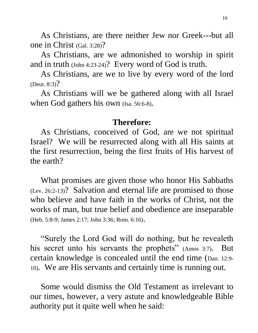As Christians, are there neither Jew nor Greek---but all one in Christ (Gal. 3:28)?

 As Christians, are we admonished to worship in spirit and in truth (John 4:23-24)? Every word of God is truth.

 As Christians, are we to live by every word of the lord (Deut. 8:3)?

 As Christians will we be gathered along with all Israel when God gathers his own (Isa. 56:6-8).

#### **Therefore:**

 As Christians, conceived of God, are we not spiritual Israel? We will be resurrected along with all His saints at the first resurrection, being the first fruits of His harvest of the earth?

 What promises are given those who honor His Sabbaths (Lev. 26:2-13)? Salvation and eternal life are promised to those who believe and have faith in the works of Christ, not the works of man, but true belief and obedience are inseparable (Heb. 5:8-9; James 2:17; John 3:36; Rom. 6:16).

 "Surely the Lord God will do nothing, but he revealeth his secret unto his servants the prophets" (Amos 3:7). But certain knowledge is concealed until the end time (Dan. 12:9- 10). We are His servants and certainly time is running out.

 Some would dismiss the Old Testament as irrelevant to our times, however, a very astute and knowledgeable Bible authority put it quite well when he said: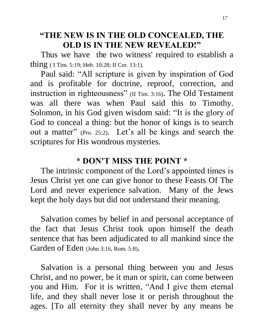## **"THE NEW IS IN THE OLD CONCEALED, THE OLD IS IN THE NEW REVEALED!"**

 Thus we have the two witness' required to establish a thing ( I Tim. 5:19; Heb. 10:28; II Cor. 13:1).

 Paul said: "All scripture is given by inspiration of God and is profitable for doctrine, reproof, correction, and instruction in righteousness" (II Tim. 3:16). The Old Testament was all there was when Paul said this to Timothy. Solomon, in his God given wisdom said: "It is the glory of God to conceal a thing: but the honor of kings is to search out a matter" (Pro. 25:2). Let's all be kings and search the scriptures for His wondrous mysteries.

## **\* DON'T MISS THE POINT \***

 The intrinsic component of the Lord's appointed times is Jesus Christ yet one can give honor to these Feasts Of The Lord and never experience salvation. Many of the Jews kept the holy days but did not understand their meaning.

 Salvation comes by belief in and personal acceptance of the fact that Jesus Christ took upon himself the death sentence that has been adjudicated to all mankind since the Garden of Eden (John 3:16, Rom. 5:8).

 Salvation is a personal thing between you and Jesus Christ, and no power, be it man or spirit, can come between you and Him. For it is written, "And I give them eternal life, and they shall never lose it or perish throughout the ages. [To all eternity they shall never by any means be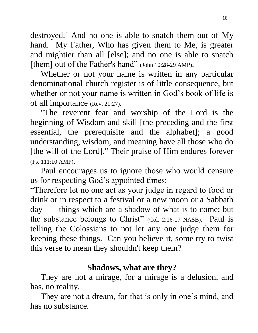destroyed.] And no one is able to snatch them out of My hand. My Father, Who has given them to Me, is greater and mightier than all [else]; and no one is able to snatch [them] out of the Father's hand" (John 10:28-29 AMP).

 Whether or not your name is written in any particular denominational church register is of little consequence, but whether or not your name is written in God's book of life is of all importance (Rev. 21:27).

 "The reverent fear and worship of the Lord is the beginning of Wisdom and skill [the preceding and the first essential, the prerequisite and the alphabet]; a good understanding, wisdom, and meaning have all those who do [the will of the Lord]." Their praise of Him endures forever (Ps. 111:10 AMP).

 Paul encourages us to ignore those who would censure us for respecting God's appointed times:

"Therefore let no one act as your judge in regard to food or drink or in respect to a festival or a new moon or a Sabbath day — things which are a  $\frac{\text{shadow}}{\text{d}x}$  of what is to come; but the substance belongs to Christ" (Col. 2:16-17 NASB). Paul is telling the Colossians to not let any one judge them for keeping these things. Can you believe it, some try to twist this verse to mean they shouldn't keep them?

## **Shadows, what are they?**

 They are not a mirage, for a mirage is a delusion, and has, no reality.

 They are not a dream, for that is only in one's mind, and has no substance.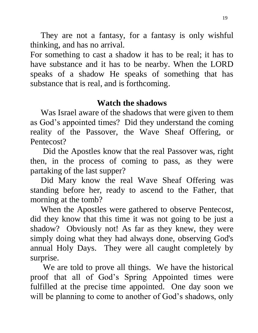They are not a fantasy, for a fantasy is only wishful thinking, and has no arrival.

For something to cast a shadow it has to be real; it has to have substance and it has to be nearby. When the LORD speaks of a shadow He speaks of something that has substance that is real, and is forthcoming.

## **Watch the shadows**

 Was Israel aware of the shadows that were given to them as God's appointed times? Did they understand the coming reality of the Passover, the Wave Sheaf Offering, or Pentecost?

 Did the Apostles know that the real Passover was, right then, in the process of coming to pass, as they were partaking of the last supper?

 Did Mary know the real Wave Sheaf Offering was standing before her, ready to ascend to the Father, that morning at the tomb?

 When the Apostles were gathered to observe Pentecost, did they know that this time it was not going to be just a shadow? Obviously not! As far as they knew, they were simply doing what they had always done, observing God's annual Holy Days. They were all caught completely by surprise.

 We are told to prove all things. We have the historical proof that all of God's Spring Appointed times were fulfilled at the precise time appointed. One day soon we will be planning to come to another of God's shadows, only